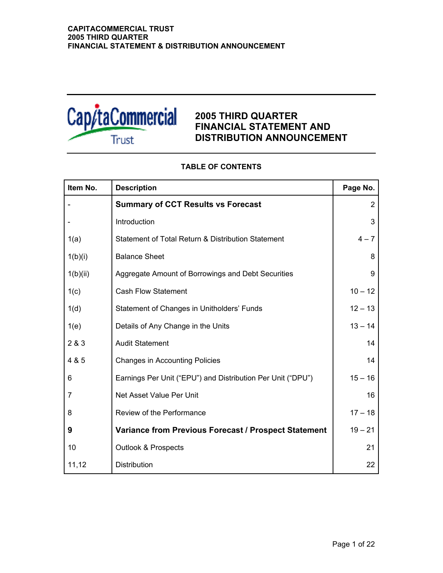

## **2005 THIRD QUARTER FINANCIAL STATEMENT AND DISTRIBUTION ANNOUNCEMENT**

| Item No.       | <b>Description</b>                                          | Page No.       |
|----------------|-------------------------------------------------------------|----------------|
|                | <b>Summary of CCT Results vs Forecast</b>                   | $\overline{2}$ |
|                | Introduction                                                | 3              |
| 1(a)           | Statement of Total Return & Distribution Statement          | $4 - 7$        |
| 1(b)(i)        | <b>Balance Sheet</b>                                        | 8              |
| 1(b)(ii)       | Aggregate Amount of Borrowings and Debt Securities          | 9              |
| 1(c)           | <b>Cash Flow Statement</b>                                  | $10 - 12$      |
| 1(d)           | Statement of Changes in Unitholders' Funds                  | $12 - 13$      |
| 1(e)           | Details of Any Change in the Units                          | $13 - 14$      |
| 2 & 3          | <b>Audit Statement</b>                                      | 14             |
| 4 & 5          | <b>Changes in Accounting Policies</b>                       | 14             |
| 6              | Earnings Per Unit ("EPU") and Distribution Per Unit ("DPU") | $15 - 16$      |
| $\overline{7}$ | Net Asset Value Per Unit                                    | 16             |
| 8              | Review of the Performance                                   | $17 - 18$      |
| 9              | Variance from Previous Forecast / Prospect Statement        | $19 - 21$      |
| 10             | <b>Outlook &amp; Prospects</b>                              | 21             |
| 11,12          | Distribution                                                | 22             |

## **TABLE OF CONTENTS**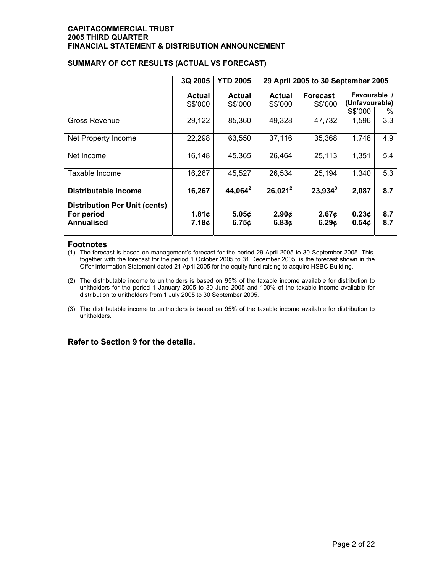|                                      | 3Q 2005       | <b>YTD 2005</b> | 29 April 2005 to 30 September 2005 |                   |                   |     |
|--------------------------------------|---------------|-----------------|------------------------------------|-------------------|-------------------|-----|
|                                      | <b>Actual</b> | Actual          | Actual                             | <b>Forecast</b>   | Favourable /      |     |
|                                      | S\$'000       | S\$'000         | S\$'000                            | S\$'000           | (Unfavourable)    |     |
|                                      |               |                 |                                    |                   | S\$'000           | %   |
| Gross Revenue                        | 29,122        | 85,360          | 49,328                             | 47,732            | 1,596             | 3.3 |
| Net Property Income                  | 22,298        | 63,550          | 37,116                             | 35,368            | 1,748             | 4.9 |
| Net Income                           | 16,148        | 45,365          | 26,464                             | 25,113            | 1,351             | 5.4 |
| Taxable Income                       | 16,267        | 45,527          | 26,534                             | 25,194            | 1,340             | 5.3 |
| <b>Distributable Income</b>          | 16,267        | $44,064^2$      | $26,021^2$                         | $23,934^3$        | 2,087             | 8.7 |
| <b>Distribution Per Unit (cents)</b> |               |                 |                                    |                   |                   |     |
| For period                           | 1.81 $\phi$   | 5.05¢           | 2.90 <sub>c</sub>                  | 2.67 <sub>c</sub> | 0.23 <sub>c</sub> | 8.7 |
| <b>Annualised</b>                    | 7.18¢         | 6.75c           | 6.83¢                              | 6.29 <sub>c</sub> | 0.54 <sub>c</sub> | 8.7 |

## **SUMMARY OF CCT RESULTS (ACTUAL VS FORECAST)**

### **Footnotes**

- (1) The forecast is based on management's forecast for the period 29 April 2005 to 30 September 2005. This, together with the forecast for the period 1 October 2005 to 31 December 2005, is the forecast shown in the Offer Information Statement dated 21 April 2005 for the equity fund raising to acquire HSBC Building.
- (2) The distributable income to unitholders is based on 95% of the taxable income available for distribution to unitholders for the period 1 January 2005 to 30 June 2005 and 100% of the taxable income available for distribution to unitholders from 1 July 2005 to 30 September 2005.
- (3) The distributable income to unitholders is based on 95% of the taxable income available for distribution to unitholders.

## **Refer to Section 9 for the details.**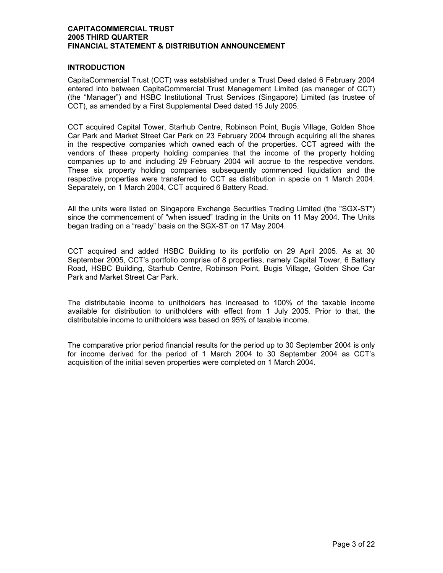## **INTRODUCTION**

CapitaCommercial Trust (CCT) was established under a Trust Deed dated 6 February 2004 entered into between CapitaCommercial Trust Management Limited (as manager of CCT) (the "Manager") and HSBC Institutional Trust Services (Singapore) Limited (as trustee of CCT), as amended by a First Supplemental Deed dated 15 July 2005.

CCT acquired Capital Tower, Starhub Centre, Robinson Point, Bugis Village, Golden Shoe Car Park and Market Street Car Park on 23 February 2004 through acquiring all the shares in the respective companies which owned each of the properties. CCT agreed with the vendors of these property holding companies that the income of the property holding companies up to and including 29 February 2004 will accrue to the respective vendors. These six property holding companies subsequently commenced liquidation and the respective properties were transferred to CCT as distribution in specie on 1 March 2004. Separately, on 1 March 2004, CCT acquired 6 Battery Road.

All the units were listed on Singapore Exchange Securities Trading Limited (the "SGX-ST") since the commencement of "when issued" trading in the Units on 11 May 2004. The Units began trading on a "ready" basis on the SGX-ST on 17 May 2004.

CCT acquired and added HSBC Building to its portfolio on 29 April 2005. As at 30 September 2005, CCT's portfolio comprise of 8 properties, namely Capital Tower, 6 Battery Road, HSBC Building, Starhub Centre, Robinson Point, Bugis Village, Golden Shoe Car Park and Market Street Car Park.

The distributable income to unitholders has increased to 100% of the taxable income available for distribution to unitholders with effect from 1 July 2005. Prior to that, the distributable income to unitholders was based on 95% of taxable income.

The comparative prior period financial results for the period up to 30 September 2004 is only for income derived for the period of 1 March 2004 to 30 September 2004 as CCT's acquisition of the initial seven properties were completed on 1 March 2004.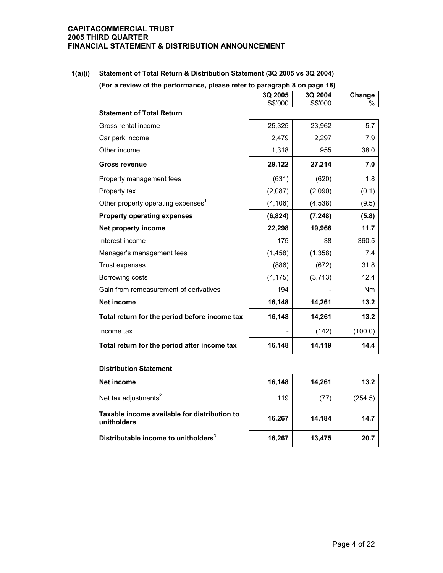**1(a)(i) Statement of Total Return & Distribution Statement (3Q 2005 vs 3Q 2004) (For a review of the performance, please refer to paragraph 8 on page 18)**

|                                                | 3Q 2005  | 3Q 2004  | Change  |
|------------------------------------------------|----------|----------|---------|
| <b>Statement of Total Return</b>               | S\$'000  | S\$'000  | ℅       |
|                                                |          |          |         |
| Gross rental income                            | 25,325   | 23,962   | 5.7     |
| Car park income                                | 2,479    | 2,297    | 7.9     |
| Other income                                   | 1,318    | 955      | 38.0    |
| <b>Gross revenue</b>                           | 29,122   | 27,214   | 7.0     |
| Property management fees                       | (631)    | (620)    | 1.8     |
| Property tax                                   | (2,087)  | (2,090)  | (0.1)   |
| Other property operating expenses <sup>1</sup> | (4, 106) | (4, 538) | (9.5)   |
| <b>Property operating expenses</b>             | (6, 824) | (7, 248) | (5.8)   |
| Net property income                            | 22,298   | 19,966   | 11.7    |
| Interest income                                | 175      | 38       | 360.5   |
| Manager's management fees                      | (1, 458) | (1, 358) | 7.4     |
| Trust expenses                                 | (886)    | (672)    | 31.8    |
| Borrowing costs                                | (4, 175) | (3,713)  | 12.4    |
| Gain from remeasurement of derivatives         | 194      |          | Nm      |
| <b>Net income</b>                              | 16,148   | 14,261   | 13.2    |
| Total return for the period before income tax  | 16,148   | 14,261   | 13.2    |
| Income tax                                     |          | (142)    | (100.0) |
| Total return for the period after income tax   | 16,148   | 14,119   | 14.4    |

| <b>Distribution Statement</b>                               |        |        |         |  |  |
|-------------------------------------------------------------|--------|--------|---------|--|--|
| Net income                                                  | 16,148 | 14,261 | 13.2    |  |  |
| Net tax adjustments <sup>2</sup>                            | 119    | (77)   | (254.5) |  |  |
| Taxable income available for distribution to<br>unitholders | 16,267 | 14,184 | 14.7    |  |  |
| Distributable income to unitholders <sup>3</sup>            | 16,267 | 13,475 | 20.7    |  |  |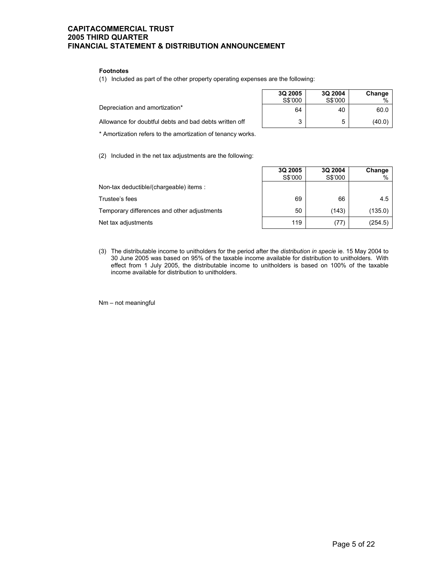#### **Footnotes**

(1) Included as part of the other property operating expenses are the following:

|                                                        | 3Q 2005<br>S\$'000 | 3Q 2004<br>S\$'000 | Change<br>% |
|--------------------------------------------------------|--------------------|--------------------|-------------|
| Depreciation and amortization*                         | 64                 | 40                 | 60.0        |
| Allowance for doubtful debts and bad debts written off |                    | b                  | (40.0)      |

\* Amortization refers to the amortization of tenancy works.

(2) Included in the net tax adjustments are the following:

Non-tax deductible/(chargeable) items :

Trustee's fees

Temporary differences and other adjustments

Net tax adjustments

| 3Q 2005<br>S\$'000 | 3Q 2004<br>S\$'000 | Change<br>$\%$ |
|--------------------|--------------------|----------------|
|                    |                    |                |
| 69                 | 66                 | 4.5            |
| 50                 | (143)              | (135.0)        |
| 119                | $\prime\prime$     | (254.5)        |

(3) The distributable income to unitholders for the period after the *distribution in specie* ie. 15 May 2004 to 30 June 2005 was based on 95% of the taxable income available for distribution to unitholders. With effect from 1 July 2005, the distributable income to unitholders is based on 100% of the taxable income available for distribution to unitholders.

Nm – not meaningful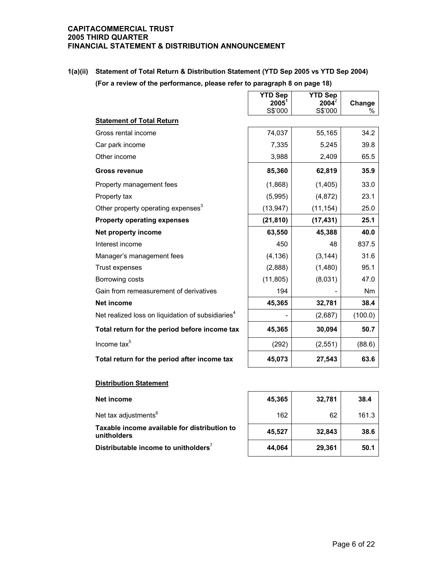**1(a)(ii) Statement of Total Return & Distribution Statement (YTD Sep 2005 vs YTD Sep 2004) (For a review of the performance, please refer to paragraph 8 on page 18)** 

|                                                               | <b>YTD Sep</b><br>$2005^1$ | <b>YTD Sep</b><br>2004 | Change    |
|---------------------------------------------------------------|----------------------------|------------------------|-----------|
|                                                               | S\$'000                    | S\$'000                | ℅         |
| <b>Statement of Total Return</b>                              |                            |                        |           |
| Gross rental income                                           | 74,037                     | 55,165                 | 34.2      |
| Car park income                                               | 7,335                      | 5,245                  | 39.8      |
| Other income                                                  | 3,988                      | 2,409                  | 65.5      |
| <b>Gross revenue</b>                                          | 85,360                     | 62,819                 | 35.9      |
| Property management fees                                      | (1,868)                    | (1, 405)               | 33.0      |
| Property tax                                                  | (5,995)                    | (4, 872)               | 23.1      |
| Other property operating expenses <sup>3</sup>                | (13, 947)                  | (11, 154)              | 25.0      |
| <b>Property operating expenses</b>                            | (21, 810)                  | (17, 431)              | 25.1      |
| Net property income                                           | 63,550                     | 45,388                 | 40.0      |
| Interest income                                               | 450                        | 48                     | 837.5     |
| Manager's management fees                                     | (4, 136)                   | (3, 144)               | 31.6      |
| Trust expenses                                                | (2,888)                    | (1,480)                | 95.1      |
| Borrowing costs                                               | (11, 805)                  | (8,031)                | 47.0      |
| Gain from remeasurement of derivatives                        | 194                        |                        | <b>Nm</b> |
| <b>Net income</b>                                             | 45,365                     | 32,781                 | 38.4      |
| Net realized loss on liquidation of subsidiaries <sup>4</sup> |                            | (2,687)                | (100.0)   |
| Total return for the period before income tax                 | 45,365                     | 30,094                 | 50.7      |
| Income tax <sup>5</sup>                                       | (292)                      | (2,551)                | (88.6)    |
| Total return for the period after income tax                  | 45,073                     | 27,543                 | 63.6      |

## **Distribution Statement**

Net tax adjustments<sup>6</sup> 162 | 162 | 161.3 **Taxable income available for distribution to unitholders 45,527 32,843 38.6**

**Net income 45,365 32,781 38.4 Distributable income to unitholders**<sup>7</sup> **44,064 29,361 50.1**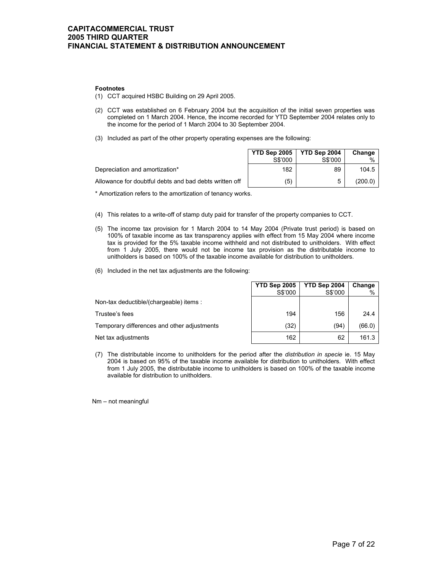#### **Footnotes**

- (1) CCT acquired HSBC Building on 29 April 2005.
- (2) CCT was established on 6 February 2004 but the acquisition of the initial seven properties was completed on 1 March 2004. Hence, the income recorded for YTD September 2004 relates only to the income for the period of 1 March 2004 to 30 September 2004.
- (3) Included as part of the other property operating expenses are the following:

|                                                        | <b>YTD Sep 2005   YTD Sep 2004</b><br>S\$'000 | S\$'000 | Change<br>$\%$ |
|--------------------------------------------------------|-----------------------------------------------|---------|----------------|
| Depreciation and amortization*                         | 182                                           | 89      | 104.5          |
| Allowance for doubtful debts and bad debts written off | (5)                                           | 5       | (200.0)        |

\* Amortization refers to the amortization of tenancy works.

- (4) This relates to a write-off of stamp duty paid for transfer of the property companies to CCT.
- (5) The income tax provision for 1 March 2004 to 14 May 2004 (Private trust period) is based on 100% of taxable income as tax transparency applies with effect from 15 May 2004 where income tax is provided for the 5% taxable income withheld and not distributed to unitholders. With effect from 1 July 2005, there would not be income tax provision as the distributable income to unitholders is based on 100% of the taxable income available for distribution to unitholders.
- (6) Included in the net tax adjustments are the following:

|                                             | <b>YTD Sep 2005</b> | YTD Sep 2004 | Change |
|---------------------------------------------|---------------------|--------------|--------|
|                                             | S\$'000             | S\$'000      |        |
| Non-tax deductible/(chargeable) items:      |                     |              |        |
| Trustee's fees                              | 194                 | 156          | 24.4   |
| Temporary differences and other adjustments | (32)                | (94)         | (66.0) |
| Net tax adjustments                         | 162                 | 62           | 161.3  |

(7) The distributable income to unitholders for the period after the *distribution in specie* ie. 15 May 2004 is based on 95% of the taxable income available for distribution to unitholders. With effect from 1 July 2005, the distributable income to unitholders is based on 100% of the taxable income available for distribution to unitholders.

Nm – not meaningful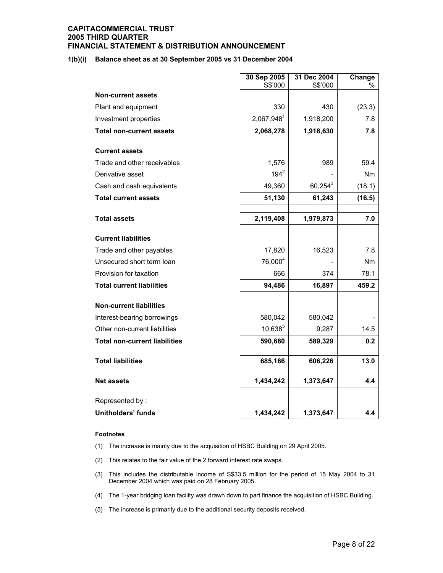#### **1(b)(i) Balance sheet as at 30 September 2005 vs 31 December 2004**

|                                      | 30 Sep 2005         | 31 Dec 2004 | Change    |
|--------------------------------------|---------------------|-------------|-----------|
|                                      | S\$'000             | S\$'000     | %         |
| <b>Non-current assets</b>            |                     |             |           |
| Plant and equipment                  | 330                 | 430         | (23.3)    |
| Investment properties                | $2,067,948^1$       | 1,918,200   | 7.8       |
| <b>Total non-current assets</b>      | 2,068,278           | 1,918,630   | 7.8       |
| <b>Current assets</b>                |                     |             |           |
| Trade and other receivables          | 1,576               | 989         | 59.4      |
| Derivative asset                     | $194^2$             |             | <b>Nm</b> |
| Cash and cash equivalents            | 49,360              | $60,254^3$  | (18.1)    |
| <b>Total current assets</b>          | 51,130              | 61,243      | (16.5)    |
|                                      |                     |             |           |
| <b>Total assets</b>                  | 2,119,408           | 1,979,873   | 7.0       |
| <b>Current liabilities</b>           |                     |             |           |
| Trade and other payables             | 17,820              | 16,523      | 7.8       |
| Unsecured short term loan            | 76,000 <sup>4</sup> |             | Nm        |
| Provision for taxation               | 666                 | 374         | 78.1      |
| <b>Total current liabilities</b>     | 94,486              | 16,897      | 459.2     |
| <b>Non-current liabilities</b>       |                     |             |           |
| Interest-bearing borrowings          | 580,042             | 580,042     |           |
| Other non-current liabilities        | $10,638^{5}$        | 9,287       | 14.5      |
| <b>Total non-current liabilities</b> | 590,680             | 589,329     | 0.2       |
| <b>Total liabilities</b>             | 685,166             | 606,226     | 13.0      |
| <b>Net assets</b>                    | 1,434,242           | 1,373,647   | 4.4       |
| Represented by:                      |                     |             |           |
| <b>Unitholders' funds</b>            | 1,434,242           | 1,373,647   | 4.4       |

#### **Footnotes**

- (1) The increase is mainly due to the acquisition of HSBC Building on 29 April 2005.
- (2) This relates to the fair value of the 2 forward interest rate swaps.
- (3) This includes the distributable income of S\$33.5 million for the period of 15 May 2004 to 31 December 2004 which was paid on 28 February 2005.
- (4) The 1-year bridging loan facility was drawn down to part finance the acquisition of HSBC Building.
- (5) The increase is primarily due to the additional security deposits received.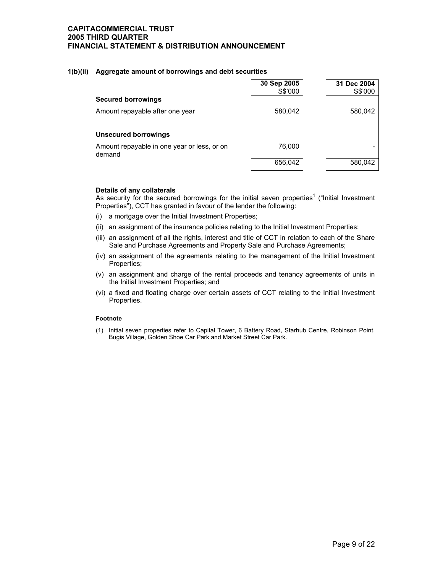#### **1(b)(ii) Aggregate amount of borrowings and debt securities**

|                                                       | 30 Sep 2005<br>S\$'000 | 31 Dec 2004<br>S\$'000 |
|-------------------------------------------------------|------------------------|------------------------|
| <b>Secured borrowings</b>                             |                        |                        |
| Amount repayable after one year                       | 580,042                | 580,042                |
| <b>Unsecured borrowings</b>                           |                        |                        |
| Amount repayable in one year or less, or on<br>demand | 76,000                 |                        |
|                                                       | 656,042                | 580.042                |

#### **Details of any collaterals**

As security for the secured borrowings for the initial seven properties<sup>1</sup> ("Initial Investment Properties"), CCT has granted in favour of the lender the following:

- (i) a mortgage over the Initial Investment Properties;
- (ii) an assignment of the insurance policies relating to the Initial Investment Properties;
- (iii) an assignment of all the rights, interest and title of CCT in relation to each of the Share Sale and Purchase Agreements and Property Sale and Purchase Agreements;
- (iv) an assignment of the agreements relating to the management of the Initial Investment Properties;
- (v) an assignment and charge of the rental proceeds and tenancy agreements of units in the Initial Investment Properties; and
- (vi) a fixed and floating charge over certain assets of CCT relating to the Initial Investment Properties.

#### **Footnote**

(1) Initial seven properties refer to Capital Tower, 6 Battery Road, Starhub Centre, Robinson Point, Bugis Village, Golden Shoe Car Park and Market Street Car Park.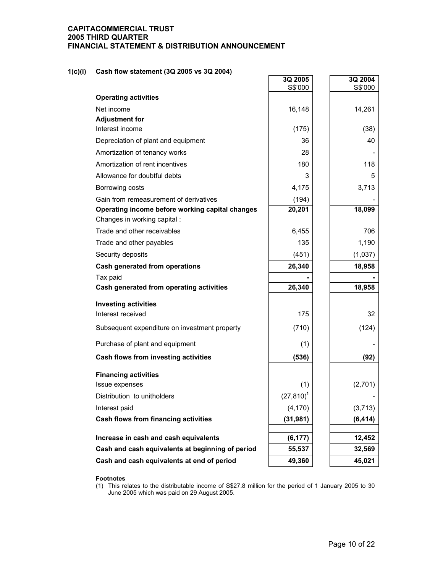## **1(c)(i) Cash flow statement (3Q 2005 vs 3Q 2004)**

|                                                                                 | 3Q 2005<br>S\$'000 | 3Q 2004<br>S\$'000 |
|---------------------------------------------------------------------------------|--------------------|--------------------|
| <b>Operating activities</b>                                                     |                    |                    |
| Net income                                                                      | 16,148             | 14,261             |
| <b>Adjustment for</b>                                                           |                    |                    |
| Interest income                                                                 | (175)              | (38)               |
| Depreciation of plant and equipment                                             | 36                 | 40                 |
| Amortization of tenancy works                                                   | 28                 |                    |
| Amortization of rent incentives                                                 | 180                | 118                |
| Allowance for doubtful debts                                                    | 3                  | 5                  |
| Borrowing costs                                                                 | 4,175              | 3,713              |
| Gain from remeasurement of derivatives                                          | (194)              |                    |
| Operating income before working capital changes<br>Changes in working capital : | 20,201             | 18,099             |
| Trade and other receivables                                                     | 6,455              | 706                |
| Trade and other payables                                                        | 135                | 1,190              |
| Security deposits                                                               | (451)              | (1,037)            |
| Cash generated from operations                                                  | 26,340             | 18,958             |
| Tax paid                                                                        |                    |                    |
| Cash generated from operating activities                                        | 26,340             | 18,958             |
| <b>Investing activities</b>                                                     |                    |                    |
| Interest received                                                               | 175                | 32                 |
| Subsequent expenditure on investment property                                   | (710)              | (124)              |
| Purchase of plant and equipment                                                 | (1)                |                    |
| Cash flows from investing activities                                            | (536)              | (92)               |
| <b>Financing activities</b>                                                     |                    |                    |
| Issue expenses                                                                  | (1)                | (2,701)            |
| Distribution to unitholders                                                     | $(27, 810)^1$      |                    |
| Interest paid                                                                   | (4, 170)           | (3,713)            |
| Cash flows from financing activities                                            | (31, 981)          | (6, 414)           |
| Increase in cash and cash equivalents                                           | (6, 177)           | 12,452             |
| Cash and cash equivalents at beginning of period                                | 55,537             | 32,569             |
| Cash and cash equivalents at end of period                                      | 49,360             | 45,021             |

#### **Footnotes**

(1) This relates to the distributable income of S\$27.8 million for the period of 1 January 2005 to 30 June 2005 which was paid on 29 August 2005.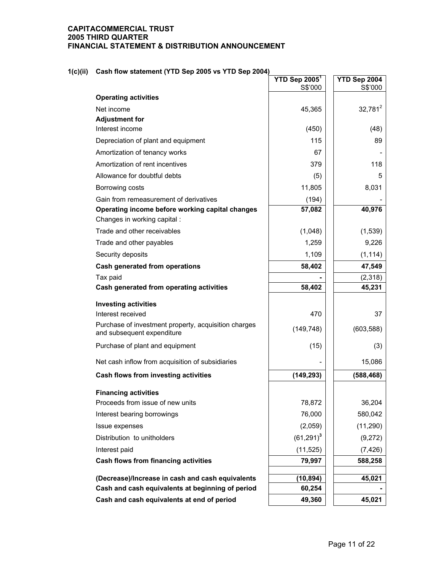## **1(c)(ii) Cash flow statement (YTD Sep 2005 vs YTD Sep 2004)**

|                                                                                    | $YTD$ Sep 2005 <sup>1</sup><br>S\$'000 | YTD Sep 2004<br>S\$'000 |
|------------------------------------------------------------------------------------|----------------------------------------|-------------------------|
| <b>Operating activities</b>                                                        |                                        |                         |
| Net income                                                                         | 45,365                                 | $32,781^2$              |
| <b>Adjustment for</b>                                                              |                                        |                         |
| Interest income                                                                    | (450)                                  | (48)                    |
| Depreciation of plant and equipment                                                | 115                                    | 89                      |
| Amortization of tenancy works                                                      | 67                                     |                         |
| Amortization of rent incentives                                                    | 379                                    | 118                     |
| Allowance for doubtful debts                                                       | (5)                                    | 5                       |
| Borrowing costs                                                                    | 11,805                                 | 8,031                   |
| Gain from remeasurement of derivatives                                             | (194)                                  |                         |
| Operating income before working capital changes                                    | 57,082                                 | 40,976                  |
| Changes in working capital :                                                       |                                        |                         |
| Trade and other receivables                                                        | (1,048)                                | (1,539)                 |
| Trade and other payables                                                           | 1,259                                  | 9,226                   |
| Security deposits                                                                  | 1,109                                  | (1, 114)                |
| <b>Cash generated from operations</b>                                              | 58,402                                 | 47,549                  |
| Tax paid                                                                           |                                        | (2,318)                 |
| Cash generated from operating activities                                           | 58,402                                 | 45,231                  |
| <b>Investing activities</b>                                                        |                                        |                         |
| Interest received                                                                  | 470                                    | 37                      |
| Purchase of investment property, acquisition charges<br>and subsequent expenditure | (149, 748)                             | (603, 588)              |
| Purchase of plant and equipment                                                    | (15)                                   | (3)                     |
| Net cash inflow from acquisition of subsidiaries                                   |                                        | 15,086                  |
| Cash flows from investing activities                                               | (149, 293)                             | (588, 468)              |
| <b>Financing activities</b>                                                        |                                        |                         |
| Proceeds from issue of new units                                                   | 78,872                                 | 36,204                  |
| Interest bearing borrowings                                                        | 76,000                                 | 580,042                 |
| Issue expenses                                                                     | (2,059)                                | (11, 290)               |
| Distribution to unitholders                                                        | $(61,291)^3$                           | (9,272)                 |
| Interest paid                                                                      | (11, 525)                              | (7, 426)                |
| Cash flows from financing activities                                               | 79,997                                 | 588,258                 |
| (Decrease)/Increase in cash and cash equivalents                                   | (10, 894)                              | 45,021                  |
| Cash and cash equivalents at beginning of period                                   | 60,254                                 |                         |
| Cash and cash equivalents at end of period                                         | 49,360                                 | 45,021                  |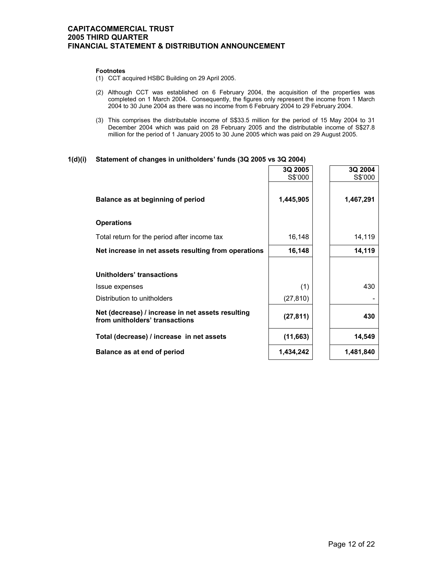#### **Footnotes**

- (1) CCT acquired HSBC Building on 29 April 2005.
- (2) Although CCT was established on 6 February 2004, the acquisition of the properties was completed on 1 March 2004. Consequently, the figures only represent the income from 1 March 2004 to 30 June 2004 as there was no income from 6 February 2004 to 29 February 2004.
- (3) This comprises the distributable income of S\$33.5 million for the period of 15 May 2004 to 31 December 2004 which was paid on 28 February 2005 and the distributable income of S\$27.8 million for the period of 1 January 2005 to 30 June 2005 which was paid on 29 August 2005.

# **1(d)(i) Statement of changes in unitholders' funds (3Q 2005 vs 3Q 2004)**

|                                                                                     | 3Q 2005<br>S\$'000 | 3Q 2004<br>S\$'000 |
|-------------------------------------------------------------------------------------|--------------------|--------------------|
| Balance as at beginning of period                                                   | 1,445,905          | 1,467,291          |
| <b>Operations</b>                                                                   |                    |                    |
| Total return for the period after income tax                                        | 16,148             | 14,119             |
| Net increase in net assets resulting from operations                                | 16,148             | 14,119             |
| Unitholders' transactions                                                           |                    |                    |
| Issue expenses                                                                      | (1)                | 430                |
| Distribution to unitholders                                                         | (27, 810)          |                    |
| Net (decrease) / increase in net assets resulting<br>from unitholders' transactions | (27, 811)          | 430                |
| Total (decrease) / increase in net assets                                           | (11,663)           | 14,549             |
| Balance as at end of period                                                         | 1,434,242          | 1,481,840          |

**3Q 2004**

 $\Gamma$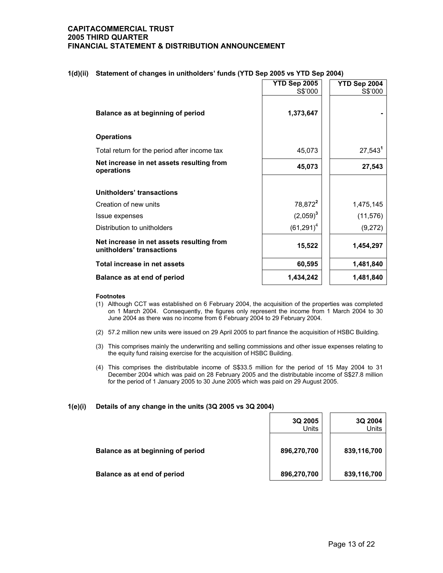|                                                                        | YTD Sep 2005<br>S\$'000 | YTD Sep 2004<br>S\$'000 |
|------------------------------------------------------------------------|-------------------------|-------------------------|
| Balance as at beginning of period                                      | 1,373,647               |                         |
| <b>Operations</b>                                                      |                         |                         |
| Total return for the period after income tax                           | 45,073                  | $27,543^1$              |
| Net increase in net assets resulting from<br>operations                | 45,073                  | 27,543                  |
| Unitholders' transactions                                              |                         |                         |
| Creation of new units                                                  | 78,872 <sup>2</sup>     | 1,475,145               |
| Issue expenses                                                         | $(2,059)^3$             | (11, 576)               |
| Distribution to unitholders                                            | $(61,291)^4$            | (9,272)                 |
| Net increase in net assets resulting from<br>unitholders' transactions | 15,522                  | 1,454,297               |
| Total increase in net assets                                           | 60,595                  | 1,481,840               |
| Balance as at end of period                                            | 1,434,242               | 1,481,840               |

### **1(d)(ii) Statement of changes in unitholders' funds (YTD Sep 2005 vs YTD Sep 2004)**

#### **Footnotes**

- (1) Although CCT was established on 6 February 2004, the acquisition of the properties was completed on 1 March 2004. Consequently, the figures only represent the income from 1 March 2004 to 30 June 2004 as there was no income from 6 February 2004 to 29 February 2004.
- (2) 57.2 million new units were issued on 29 April 2005 to part finance the acquisition of HSBC Building.
- (3) This comprises mainly the underwriting and selling commissions and other issue expenses relating to the equity fund raising exercise for the acquisition of HSBC Building.
- (4) This comprises the distributable income of S\$33.5 million for the period of 15 May 2004 to 31 December 2004 which was paid on 28 February 2005 and the distributable income of S\$27.8 million for the period of 1 January 2005 to 30 June 2005 which was paid on 29 August 2005.

#### **1(e)(i) Details of any change in the units (3Q 2005 vs 3Q 2004)**

|                                   | 3Q 2005<br>Units | 3Q 2004<br>Units |
|-----------------------------------|------------------|------------------|
| Balance as at beginning of period | 896,270,700      | 839,116,700      |
| Balance as at end of period       | 896,270,700      | 839,116,700      |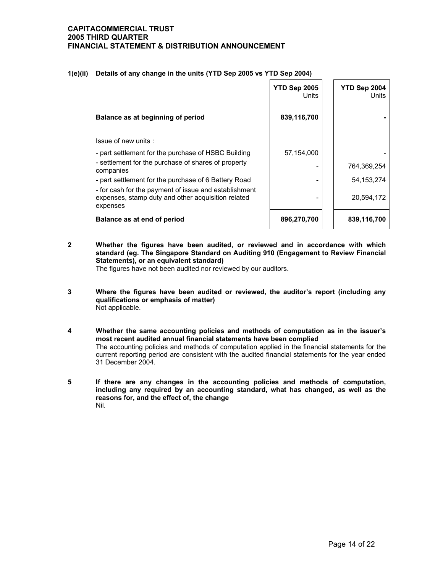|                                                                                                                         | <b>YTD Sep 2005</b><br>Units | YTD Sep 2004<br>Units |
|-------------------------------------------------------------------------------------------------------------------------|------------------------------|-----------------------|
| Balance as at beginning of period                                                                                       | 839,116,700                  |                       |
| Issue of new units:                                                                                                     |                              |                       |
| - part settlement for the purchase of HSBC Building                                                                     | 57,154,000                   |                       |
| - settlement for the purchase of shares of property<br>companies                                                        |                              | 764,369,254           |
| - part settlement for the purchase of 6 Battery Road                                                                    |                              | 54, 153, 274          |
| - for cash for the payment of issue and establishment<br>expenses, stamp duty and other acquisition related<br>expenses |                              | 20,594,172            |
| Balance as at end of period                                                                                             | 896,270,700                  | 839,116,700           |

## **1(e)(ii) Details of any change in the units (YTD Sep 2005 vs YTD Sep 2004)**

**2 Whether the figures have been audited, or reviewed and in accordance with which standard (eg. The Singapore Standard on Auditing 910 (Engagement to Review Financial Statements), or an equivalent standard)** 

The figures have not been audited nor reviewed by our auditors.

- **3 Where the figures have been audited or reviewed, the auditor's report (including any qualifications or emphasis of matter)**  Not applicable.
- **4 Whether the same accounting policies and methods of computation as in the issuer's most recent audited annual financial statements have been complied**  The accounting policies and methods of computation applied in the financial statements for the current reporting period are consistent with the audited financial statements for the year ended 31 December 2004.
- **5 If there are any changes in the accounting policies and methods of computation, including any required by an accounting standard, what has changed, as well as the reasons for, and the effect of, the change**  Nil.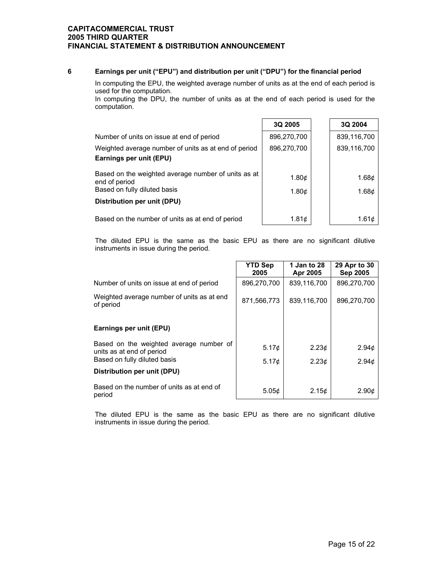## **6 Earnings per unit ("EPU") and distribution per unit ("DPU") for the financial period**

 In computing the EPU, the weighted average number of units as at the end of each period is used for the computation.

 In computing the DPU, the number of units as at the end of each period is used for the computation.

|                                                                                                      | 3Q 2005                          | 3Q 2004                          |
|------------------------------------------------------------------------------------------------------|----------------------------------|----------------------------------|
| Number of units on issue at end of period                                                            | 896,270,700                      | 839,116,700                      |
| Weighted average number of units as at end of period<br>Earnings per unit (EPU)                      | 896,270,700                      | 839,116,700                      |
| Based on the weighted average number of units as at<br>end of period<br>Based on fully diluted basis | 1.80 $\phi$<br>1.80 <sub>c</sub> | 1.68 $\phi$<br>1.68 <sub>c</sub> |
| Distribution per unit (DPU)                                                                          |                                  |                                  |
| Based on the number of units as at end of period                                                     | 1.81c                            | 1.61c                            |

The diluted EPU is the same as the basic EPU as there are no significant dilutive instruments in issue during the period.

|                                                                      | <b>YTD Sep</b><br>2005 | 1 Jan to 28<br>Apr 2005 | 29 Apr to 30<br><b>Sep 2005</b> |
|----------------------------------------------------------------------|------------------------|-------------------------|---------------------------------|
| Number of units on issue at end of period                            | 896,270,700            | 839,116,700             | 896,270,700                     |
| Weighted average number of units as at end<br>of period              | 871,566,773            | 839,116,700             | 896,270,700                     |
| Earnings per unit (EPU)                                              |                        |                         |                                 |
| Based on the weighted average number of<br>units as at end of period | $5.17\textcirc$        | 2.23¢                   | 2.94¢                           |
| Based on fully diluted basis                                         | 5.17 $\phi$            | 2.23¢                   | 2.94 <sub>¢</sub>               |
| Distribution per unit (DPU)                                          |                        |                         |                                 |
| Based on the number of units as at end of<br>period                  | 5.05 <sub>c</sub>      | 2.15 <sub>c</sub>       | 2.90 <sub>c</sub>               |

The diluted EPU is the same as the basic EPU as there are no significant dilutive instruments in issue during the period.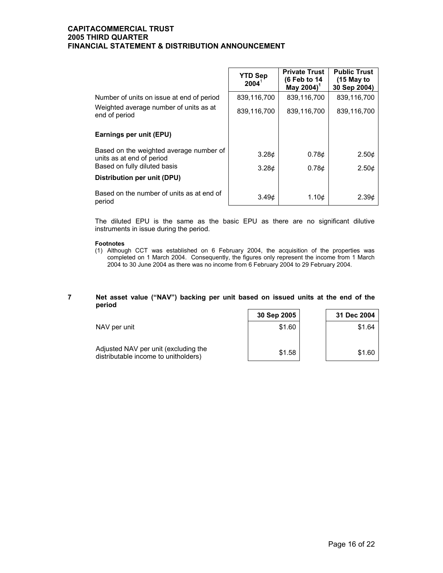|                                                                      | <b>YTD Sep</b><br>$2004^{\frac{1}{2}}$ | <b>Private Trust</b><br>(6 Feb to 14<br>May 2004) <sup>1</sup> | <b>Public Trust</b><br>$(15$ May to<br>30 Sep 2004) |
|----------------------------------------------------------------------|----------------------------------------|----------------------------------------------------------------|-----------------------------------------------------|
| Number of units on issue at end of period                            | 839,116,700                            | 839,116,700                                                    | 839,116,700                                         |
| Weighted average number of units as at<br>end of period              | 839,116,700                            | 839,116,700                                                    | 839,116,700                                         |
| Earnings per unit (EPU)                                              |                                        |                                                                |                                                     |
| Based on the weighted average number of<br>units as at end of period | 3.28 <sub>c</sub>                      | 0.78 <sub>c</sub>                                              | 2.50 <sub>c</sub>                                   |
| Based on fully diluted basis                                         | 3.28 <sub>c</sub>                      | 0.78 <sub>c</sub>                                              | 2.50 <sub>c</sub>                                   |
| <b>Distribution per unit (DPU)</b>                                   |                                        |                                                                |                                                     |
| Based on the number of units as at end of<br>period                  | 3.49 <sub>c</sub>                      | 1.10 <sub>c</sub>                                              | 2.39c                                               |

The diluted EPU is the same as the basic EPU as there are no significant dilutive instruments in issue during the period.

#### **Footnotes**

(1) Although CCT was established on 6 February 2004, the acquisition of the properties was completed on 1 March 2004. Consequently, the figures only represent the income from 1 March 2004 to 30 June 2004 as there was no income from 6 February 2004 to 29 February 2004.

#### **7 Net asset value ("NAV") backing per unit based on issued units at the end of the period**

|                                                                              | 30 Sep 2005 | 31 Dec 2004 |
|------------------------------------------------------------------------------|-------------|-------------|
| NAV per unit                                                                 | \$1.60      | \$1.64      |
| Adjusted NAV per unit (excluding the<br>distributable income to unitholders) | \$1.58      | \$1.60      |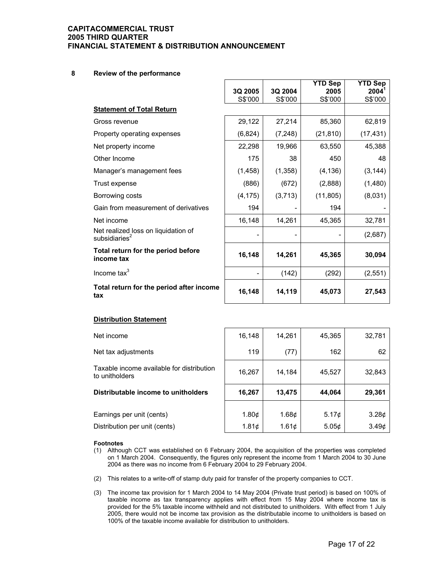#### **8 Review of the performance**

|                                                         |          |          | <b>YTD Sep</b> | YTD Sep   |
|---------------------------------------------------------|----------|----------|----------------|-----------|
|                                                         | 3Q 2005  | 3Q 2004  | 2005           | 2004'     |
|                                                         | S\$'000  | S\$'000  | S\$'000        | S\$'000   |
| <b>Statement of Total Return</b>                        |          |          |                |           |
| Gross revenue                                           | 29,122   | 27,214   | 85,360         | 62,819    |
| Property operating expenses                             | (6,824)  | (7, 248) | (21, 810)      | (17, 431) |
| Net property income                                     | 22,298   | 19,966   | 63,550         | 45,388    |
| Other Income                                            | 175      | 38       | 450            | 48        |
| Manager's management fees                               | (1,458)  | (1,358)  | (4, 136)       | (3, 144)  |
| Trust expense                                           | (886)    | (672)    | (2,888)        | (1,480)   |
| Borrowing costs                                         | (4, 175) | (3,713)  | (11, 805)      | (8,031)   |
| Gain from measurement of derivatives                    | 194      |          | 194            |           |
| Net income                                              | 16,148   | 14,261   | 45,365         | 32,781    |
| Net realized loss on liquidation of<br>subsidiaries $2$ |          |          |                | (2,687)   |
| Total return for the period before<br>income tax        | 16,148   | 14,261   | 45,365         | 30,094    |
| Income $\text{tax}^3$                                   |          | (142)    | (292)          | (2, 551)  |
| Total return for the period after income<br>tax         | 16,148   | 14,119   | 45,073         | 27,543    |

#### **Distribution Statement**

| Net income                                                  | 16,148            | 14,261            | 45,365            | 32,781            |
|-------------------------------------------------------------|-------------------|-------------------|-------------------|-------------------|
| Net tax adjustments                                         | 119               | (77)              | 162               | 62                |
| Taxable income available for distribution<br>to unitholders | 16,267            | 14,184            | 45,527            | 32,843            |
| Distributable income to unitholders                         | 16,267            | 13,475            | 44,064            | 29,361            |
|                                                             |                   |                   |                   |                   |
| Earnings per unit (cents)                                   | 1.80 <sub>c</sub> | 1.68 <sub>¢</sub> | 5.17c             | 3.28¢             |
| Distribution per unit (cents)                               | 1.81c             | 1.61c             | 5.05 <sub>c</sub> | 3.49 <sub>c</sub> |

#### **Footnotes**

- (1) Although CCT was established on 6 February 2004, the acquisition of the properties was completed on 1 March 2004. Consequently, the figures only represent the income from 1 March 2004 to 30 June 2004 as there was no income from 6 February 2004 to 29 February 2004.
- (2) This relates to a write-off of stamp duty paid for transfer of the property companies to CCT.
- (3) The income tax provision for 1 March 2004 to 14 May 2004 (Private trust period) is based on 100% of taxable income as tax transparency applies with effect from 15 May 2004 where income tax is provided for the 5% taxable income withheld and not distributed to unitholders. With effect from 1 July 2005, there would not be income tax provision as the distributable income to unitholders is based on 100% of the taxable income available for distribution to unitholders.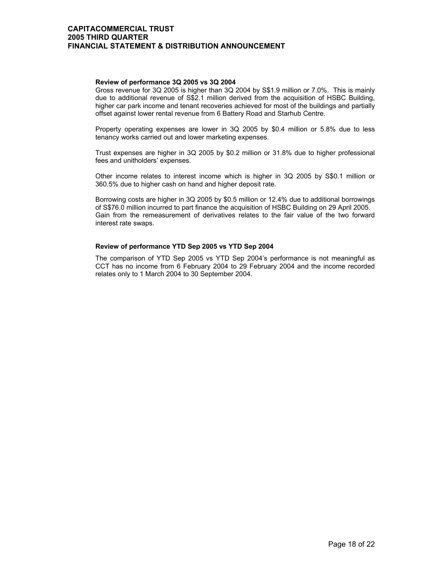#### **Review of performance 3Q 2005 vs 3Q 2004**

 Gross revenue for 3Q 2005 is higher than 3Q 2004 by S\$1.9 million or 7.0%. This is mainly due to additional revenue of S\$2.1 million derived from the acquisition of HSBC Building, higher car park income and tenant recoveries achieved for most of the buildings and partially offset against lower rental revenue from 6 Battery Road and Starhub Centre.

Property operating expenses are lower in 3Q 2005 by \$0.4 million or 5.8% due to less tenancy works carried out and lower marketing expenses.

Trust expenses are higher in 3Q 2005 by \$0.2 million or 31.8% due to higher professional fees and unitholders' expenses.

Other income relates to interest income which is higher in 3Q 2005 by S\$0.1 million or 360.5% due to higher cash on hand and higher deposit rate.

Borrowing costs are higher in 3Q 2005 by \$0.5 million or 12.4% due to additional borrowings of S\$76.0 million incurred to part finance the acquisition of HSBC Building on 29 April 2005. Gain from the remeasurement of derivatives relates to the fair value of the two forward interest rate swaps.

#### **Review of performance YTD Sep 2005 vs YTD Sep 2004**

 The comparison of YTD Sep 2005 vs YTD Sep 2004's performance is not meaningful as CCT has no income from 6 February 2004 to 29 February 2004 and the income recorded relates only to 1 March 2004 to 30 September 2004.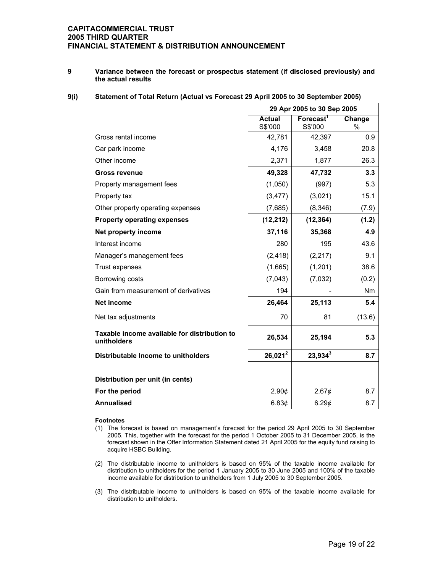**9 Variance between the forecast or prospectus statement (if disclosed previously) and the actual results** 

## **9(i) Statement of Total Return (Actual vs Forecast 29 April 2005 to 30 September 2005)**

|                                                             | 29 Apr 2005 to 30 Sep 2005 |                                  |                |
|-------------------------------------------------------------|----------------------------|----------------------------------|----------------|
|                                                             | <b>Actual</b><br>S\$'000   | Forecast <sup>1</sup><br>S\$'000 | Change<br>$\%$ |
| Gross rental income                                         | 42,781                     | 42,397                           | 0.9            |
| Car park income                                             | 4,176                      | 3,458                            | 20.8           |
| Other income                                                | 2,371                      | 1,877                            | 26.3           |
| <b>Gross revenue</b>                                        | 49,328                     | 47,732                           | 3.3            |
| Property management fees                                    | (1,050)                    | (997)                            | 5.3            |
| Property tax                                                | (3, 477)                   | (3,021)                          | 15.1           |
| Other property operating expenses                           | (7,685)                    | (8, 346)                         | (7.9)          |
| <b>Property operating expenses</b>                          | (12, 212)                  | (12, 364)                        | (1.2)          |
| Net property income                                         | 37,116                     | 35,368                           | 4.9            |
| Interest income                                             | 280                        | 195                              | 43.6           |
| Manager's management fees                                   | (2, 418)                   | (2, 217)                         | 9.1            |
| Trust expenses                                              | (1,665)                    | (1,201)                          | 38.6           |
| Borrowing costs                                             | (7,043)                    | (7,032)                          | (0.2)          |
| Gain from measurement of derivatives                        | 194                        |                                  | Nm             |
| <b>Net income</b>                                           | 26,464                     | 25,113                           | 5.4            |
| Net tax adjustments                                         | 70                         | 81                               | (13.6)         |
| Taxable income available for distribution to<br>unitholders | 26,534                     | 25,194                           | 5.3            |
| Distributable Income to unitholders                         | $26,021^2$                 | $23,934^3$                       | 8.7            |
|                                                             |                            |                                  |                |
| Distribution per unit (in cents)                            |                            |                                  |                |
| For the period                                              | 2.90¢                      | 2.67¢                            | 8.7            |
| <b>Annualised</b>                                           | 6.83¢                      | 6.29¢                            | 8.7            |

#### **Footnotes**

- (1) The forecast is based on management's forecast for the period 29 April 2005 to 30 September 2005. This, together with the forecast for the period 1 October 2005 to 31 December 2005, is the forecast shown in the Offer Information Statement dated 21 April 2005 for the equity fund raising to acquire HSBC Building.
- (2) The distributable income to unitholders is based on 95% of the taxable income available for distribution to unitholders for the period 1 January 2005 to 30 June 2005 and 100% of the taxable income available for distribution to unitholders from 1 July 2005 to 30 September 2005.
- (3) The distributable income to unitholders is based on 95% of the taxable income available for distribution to unitholders.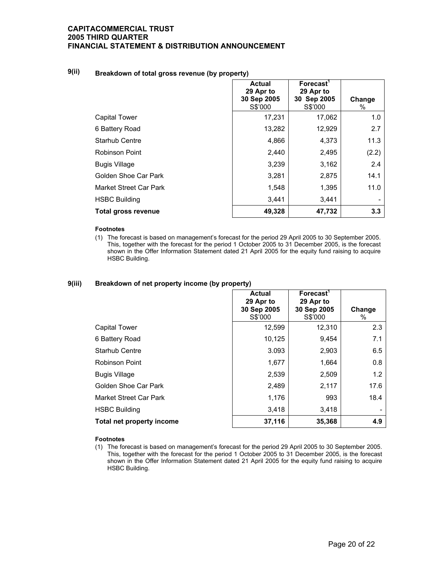## **9(ii) Breakdown of total gross revenue (by property)**

|                        | <b>Actual</b><br>29 Apr to<br>30 Sep 2005<br>S\$'000 | <b>Forecast</b><br>29 Apr to<br>30 Sep 2005<br>S\$'000 | Change<br>% |
|------------------------|------------------------------------------------------|--------------------------------------------------------|-------------|
| <b>Capital Tower</b>   | 17,231                                               | 17,062                                                 | 1.0         |
| 6 Battery Road         | 13,282                                               | 12,929                                                 | 2.7         |
| <b>Starhub Centre</b>  | 4,866                                                | 4,373                                                  | 11.3        |
| Robinson Point         | 2,440                                                | 2,495                                                  | (2.2)       |
| <b>Bugis Village</b>   | 3,239                                                | 3,162                                                  | 2.4         |
| Golden Shoe Car Park   | 3,281                                                | 2,875                                                  | 14.1        |
| Market Street Car Park | 1,548                                                | 1,395                                                  | 11.0        |
| <b>HSBC Building</b>   | 3,441                                                | 3,441                                                  |             |
| Total gross revenue    | 49,328                                               | 47,732                                                 | 3.3         |

#### **Footnotes**

(1) The forecast is based on management's forecast for the period 29 April 2005 to 30 September 2005. This, together with the forecast for the period 1 October 2005 to 31 December 2005, is the forecast shown in the Offer Information Statement dated 21 April 2005 for the equity fund raising to acquire HSBC Building.

#### **9(iii) Breakdown of net property income (by property)**

|                           | <b>Actual</b><br>29 Apr to<br>30 Sep 2005<br>S\$'000 | Forecast <sup>1</sup><br>29 Apr to<br>30 Sep 2005<br>S\$'000 | Change<br>℅ |
|---------------------------|------------------------------------------------------|--------------------------------------------------------------|-------------|
| Capital Tower             | 12,599                                               | 12,310                                                       | 2.3         |
| 6 Battery Road            | 10,125                                               | 9,454                                                        | 7.1         |
| <b>Starhub Centre</b>     | 3.093                                                | 2,903                                                        | 6.5         |
| Robinson Point            | 1,677                                                | 1,664                                                        | 0.8         |
| <b>Bugis Village</b>      | 2,539                                                | 2,509                                                        | 1.2         |
| Golden Shoe Car Park      | 2,489                                                | 2,117                                                        | 17.6        |
| Market Street Car Park    | 1,176                                                | 993                                                          | 18.4        |
| <b>HSBC Building</b>      | 3,418                                                | 3,418                                                        |             |
| Total net property income | 37,116                                               | 35,368                                                       | 4.9         |

#### **Footnotes**

(1) The forecast is based on management's forecast for the period 29 April 2005 to 30 September 2005. This, together with the forecast for the period 1 October 2005 to 31 December 2005, is the forecast shown in the Offer Information Statement dated 21 April 2005 for the equity fund raising to acquire HSBC Building.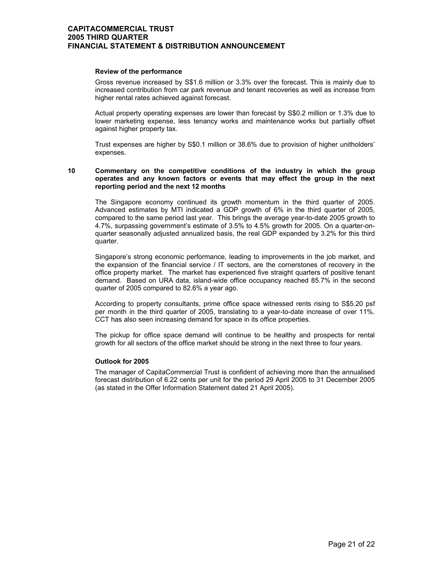#### **Review of the performance**

 Gross revenue increased by S\$1.6 million or 3.3% over the forecast. This is mainly due to increased contribution from car park revenue and tenant recoveries as well as increase from higher rental rates achieved against forecast.

Actual property operating expenses are lower than forecast by S\$0.2 million or 1.3% due to lower marketing expense, less tenancy works and maintenance works but partially offset against higher property tax.

Trust expenses are higher by S\$0.1 million or 38.6% due to provision of higher unitholders' expenses.

#### **10 Commentary on the competitive conditions of the industry in which the group operates and any known factors or events that may effect the group in the next reporting period and the next 12 months**

 The Singapore economy continued its growth momentum in the third quarter of 2005. Advanced estimates by MTI indicated a GDP growth of 6% in the third quarter of 2005, compared to the same period last year. This brings the average year-to-date 2005 growth to 4.7%, surpassing government's estimate of 3.5% to 4.5% growth for 2005. On a quarter-onquarter seasonally adjusted annualized basis, the real GDP expanded by 3.2% for this third quarter.

Singapore's strong economic performance, leading to improvements in the job market, and the expansion of the financial service / IT sectors, are the cornerstones of recovery in the office property market. The market has experienced five straight quarters of positive tenant demand. Based on URA data, island-wide office occupancy reached 85.7% in the second quarter of 2005 compared to 82.6% a year ago.

According to property consultants, prime office space witnessed rents rising to S\$5.20 psf per month in the third quarter of 2005, translating to a year-to-date increase of over 11%. CCT has also seen increasing demand for space in its office properties.

The pickup for office space demand will continue to be healthy and prospects for rental growth for all sectors of the office market should be strong in the next three to four years.

#### **Outlook for 2005**

 The manager of CapitaCommercial Trust is confident of achieving more than the annualised forecast distribution of 6.22 cents per unit for the period 29 April 2005 to 31 December 2005 (as stated in the Offer Information Statement dated 21 April 2005).